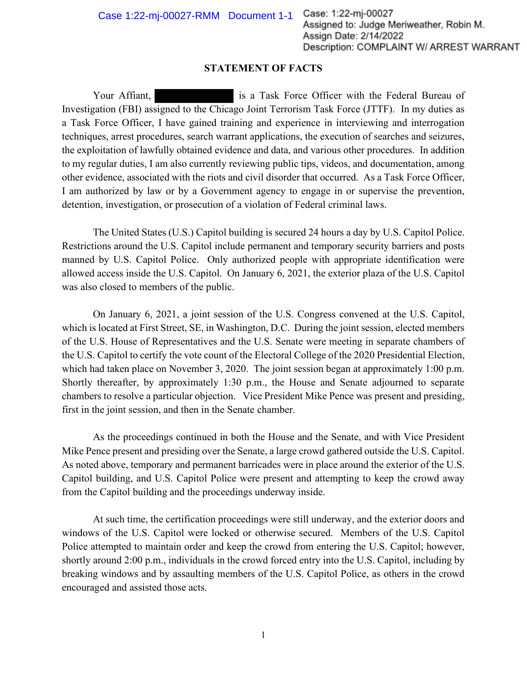## **STATEMENT OF FACTS**

Your Affiant, **is a Task Force Officer with the Federal Bureau of** Investigation (FBI) assigned to the Chicago Joint Terrorism Task Force (JTTF). In my duties as a Task Force Officer, I have gained training and experience in interviewing and interrogation techniques, arrest procedures, search warrant applications, the execution of searches and seizures, the exploitation of lawfully obtained evidence and data, and various other procedures. In addition to my regular duties, I am also currently reviewing public tips, videos, and documentation, among other evidence, associated with the riots and civil disorder that occurred. As a Task Force Officer, I am authorized by law or by a Government agency to engage in or supervise the prevention, detention, investigation, or prosecution of a violation of Federal criminal laws.

The United States (U.S.) Capitol building is secured 24 hours a day by U.S. Capitol Police. Restrictions around the U.S. Capitol include permanent and temporary security barriers and posts manned by U.S. Capitol Police. Only authorized people with appropriate identification were allowed access inside the U.S. Capitol. On January 6, 2021, the exterior plaza of the U.S. Capitol was also closed to members of the public.

On January 6, 2021, a joint session of the U.S. Congress convened at the U.S. Capitol, which is located at First Street, SE, in Washington, D.C. During the joint session, elected members of the U.S. House of Representatives and the U.S. Senate were meeting in separate chambers of the U.S. Capitol to certify the vote count of the Electoral College of the 2020 Presidential Election, which had taken place on November 3, 2020. The joint session began at approximately 1:00 p.m. Shortly thereafter, by approximately 1:30 p.m., the House and Senate adjourned to separate chambers to resolve a particular objection. Vice President Mike Pence was present and presiding, first in the joint session, and then in the Senate chamber.

As the proceedings continued in both the House and the Senate, and with Vice President Mike Pence present and presiding over the Senate, a large crowd gathered outside the U.S. Capitol. As noted above, temporary and permanent barricades were in place around the exterior of the U.S. Capitol building, and U.S. Capitol Police were present and attempting to keep the crowd away from the Capitol building and the proceedings underway inside.

At such time, the certification proceedings were still underway, and the exterior doors and windows of the U.S. Capitol were locked or otherwise secured. Members of the U.S. Capitol Police attempted to maintain order and keep the crowd from entering the U.S. Capitol; however, shortly around 2:00 p.m., individuals in the crowd forced entry into the U.S. Capitol, including by breaking windows and by assaulting members of the U.S. Capitol Police, as others in the crowd encouraged and assisted those acts.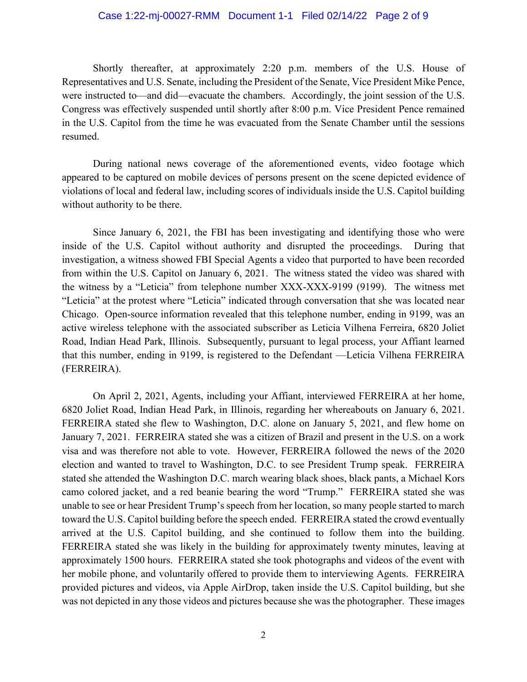## Case 1:22-mj-00027-RMM Document 1-1 Filed 02/14/22 Page 2 of 9

Shortly thereafter, at approximately 2:20 p.m. members of the U.S. House of Representatives and U.S. Senate, including the President of the Senate, Vice President Mike Pence, were instructed to—and did—evacuate the chambers. Accordingly, the joint session of the U.S. Congress was effectively suspended until shortly after 8:00 p.m. Vice President Pence remained in the U.S. Capitol from the time he was evacuated from the Senate Chamber until the sessions resumed.

During national news coverage of the aforementioned events, video footage which appeared to be captured on mobile devices of persons present on the scene depicted evidence of violations of local and federal law, including scores of individuals inside the U.S. Capitol building without authority to be there.

Since January 6, 2021, the FBI has been investigating and identifying those who were inside of the U.S. Capitol without authority and disrupted the proceedings. During that investigation, a witness showed FBI Special Agents a video that purported to have been recorded from within the U.S. Capitol on January 6, 2021. The witness stated the video was shared with the witness by a "Leticia" from telephone number XXX-XXX-9199 (9199). The witness met "Leticia" at the protest where "Leticia" indicated through conversation that she was located near Chicago. Open-source information revealed that this telephone number, ending in 9199, was an active wireless telephone with the associated subscriber as Leticia Vilhena Ferreira, 6820 Joliet Road, Indian Head Park, Illinois. Subsequently, pursuant to legal process, your Affiant learned that this number, ending in 9199, is registered to the Defendant —Leticia Vilhena FERREIRA (FERREIRA).

On April 2, 2021, Agents, including your Affiant, interviewed FERREIRA at her home, 6820 Joliet Road, Indian Head Park, in Illinois, regarding her whereabouts on January 6, 2021. FERREIRA stated she flew to Washington, D.C. alone on January 5, 2021, and flew home on January 7, 2021. FERREIRA stated she was a citizen of Brazil and present in the U.S. on a work visa and was therefore not able to vote. However, FERREIRA followed the news of the 2020 election and wanted to travel to Washington, D.C. to see President Trump speak. FERREIRA stated she attended the Washington D.C. march wearing black shoes, black pants, a Michael Kors camo colored jacket, and a red beanie bearing the word "Trump." FERREIRA stated she was unable to see or hear President Trump's speech from her location, so many people started to march toward the U.S. Capitol building before the speech ended. FERREIRA stated the crowd eventually arrived at the U.S. Capitol building, and she continued to follow them into the building. FERREIRA stated she was likely in the building for approximately twenty minutes, leaving at approximately 1500 hours. FERREIRA stated she took photographs and videos of the event with her mobile phone, and voluntarily offered to provide them to interviewing Agents. FERREIRA provided pictures and videos, via Apple AirDrop, taken inside the U.S. Capitol building, but she was not depicted in any those videos and pictures because she was the photographer. These images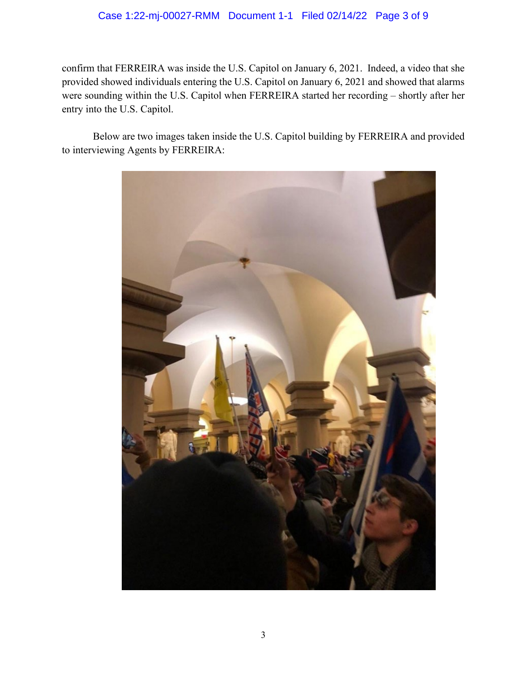## Case 1:22-mj-00027-RMM Document 1-1 Filed 02/14/22 Page 3 of 9

confirm that FERREIRA was inside the U.S. Capitol on January 6, 2021. Indeed, a video that she provided showed individuals entering the U.S. Capitol on January 6, 2021 and showed that alarms were sounding within the U.S. Capitol when FERREIRA started her recording – shortly after her entry into the U.S. Capitol.

Below are two images taken inside the U.S. Capitol building by FERREIRA and provided to interviewing Agents by FERREIRA:

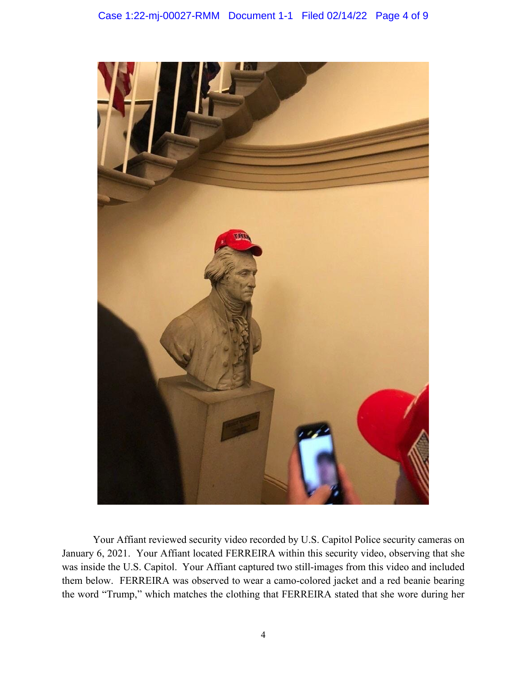

Your Affiant reviewed security video recorded by U.S. Capitol Police security cameras on January 6, 2021. Your Affiant located FERREIRA within this security video, observing that she was inside the U.S. Capitol. Your Affiant captured two still-images from this video and included them below. FERREIRA was observed to wear a camo-colored jacket and a red beanie bearing the word "Trump," which matches the clothing that FERREIRA stated that she wore during her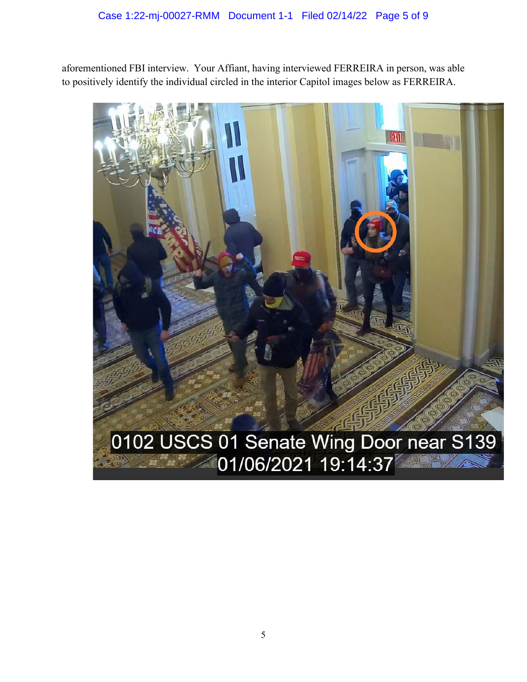aforementioned FBI interview. Your Affiant, having interviewed FERREIRA in person, was able to positively identify the individual circled in the interior Capitol images below as FERREIRA.

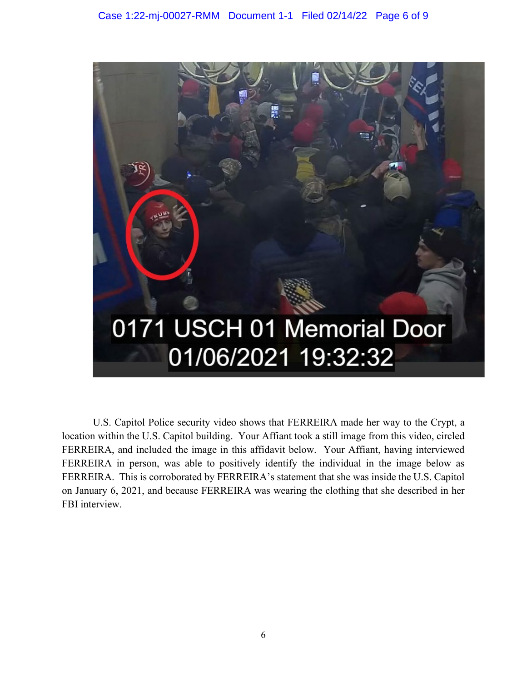

U.S. Capitol Police security video shows that FERREIRA made her way to the Crypt, a location within the U.S. Capitol building. Your Affiant took a still image from this video, circled FERREIRA, and included the image in this affidavit below. Your Affiant, having interviewed FERREIRA in person, was able to positively identify the individual in the image below as FERREIRA. This is corroborated by FERREIRA's statement that she was inside the U.S. Capitol on January 6, 2021, and because FERREIRA was wearing the clothing that she described in her FBI interview.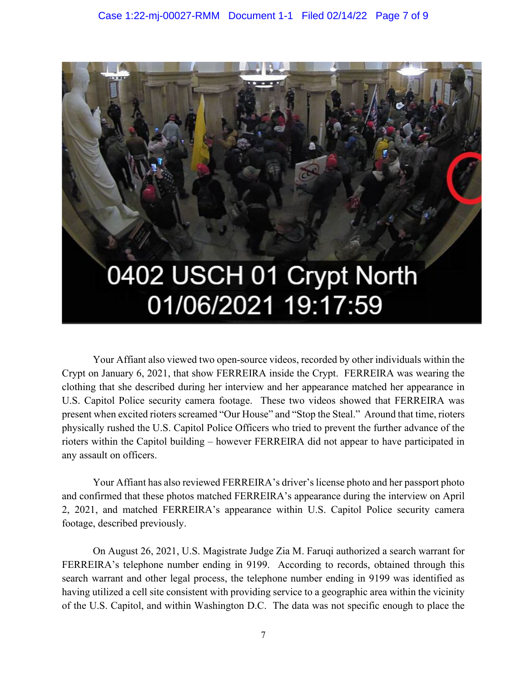

Your Affiant also viewed two open-source videos, recorded by other individuals within the Crypt on January 6, 2021, that show FERREIRA inside the Crypt. FERREIRA was wearing the clothing that she described during her interview and her appearance matched her appearance in U.S. Capitol Police security camera footage. These two videos showed that FERREIRA was present when excited rioters screamed "Our House" and "Stop the Steal." Around that time, rioters physically rushed the U.S. Capitol Police Officers who tried to prevent the further advance of the rioters within the Capitol building – however FERREIRA did not appear to have participated in any assault on officers.

Your Affiant has also reviewed FERREIRA's driver's license photo and her passport photo and confirmed that these photos matched FERREIRA's appearance during the interview on April 2, 2021, and matched FERREIRA's appearance within U.S. Capitol Police security camera footage, described previously.

On August 26, 2021, U.S. Magistrate Judge Zia M. Faruqi authorized a search warrant for FERREIRA's telephone number ending in 9199. According to records, obtained through this search warrant and other legal process, the telephone number ending in 9199 was identified as having utilized a cell site consistent with providing service to a geographic area within the vicinity of the U.S. Capitol, and within Washington D.C. The data was not specific enough to place the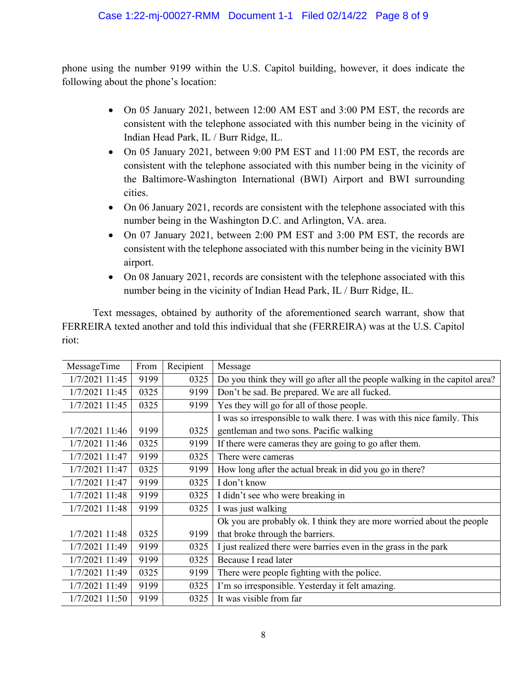phone using the number 9199 within the U.S. Capitol building, however, it does indicate the following about the phone's location:

- On 05 January 2021, between 12:00 AM EST and 3:00 PM EST, the records are consistent with the telephone associated with this number being in the vicinity of Indian Head Park, IL / Burr Ridge, IL.
- On 05 January 2021, between 9:00 PM EST and 11:00 PM EST, the records are consistent with the telephone associated with this number being in the vicinity of the Baltimore-Washington International (BWI) Airport and BWI surrounding cities.
- On 06 January 2021, records are consistent with the telephone associated with this number being in the Washington D.C. and Arlington, VA. area.
- On 07 January 2021, between 2:00 PM EST and 3:00 PM EST, the records are consistent with the telephone associated with this number being in the vicinity BWI airport.
- On 08 January 2021, records are consistent with the telephone associated with this number being in the vicinity of Indian Head Park, IL / Burr Ridge, IL.

Text messages, obtained by authority of the aforementioned search warrant, show that FERREIRA texted another and told this individual that she (FERREIRA) was at the U.S. Capitol riot:

| MessageTime    | From | Recipient | Message                                                                     |
|----------------|------|-----------|-----------------------------------------------------------------------------|
| 1/7/2021 11:45 | 9199 | 0325      | Do you think they will go after all the people walking in the capitol area? |
| 1/7/2021 11:45 | 0325 | 9199      | Don't be sad. Be prepared. We are all fucked.                               |
| 1/7/2021 11:45 | 0325 | 9199      | Yes they will go for all of those people.                                   |
|                |      |           | I was so irresponsible to walk there. I was with this nice family. This     |
| 1/7/2021 11:46 | 9199 | 0325      | gentleman and two sons. Pacific walking                                     |
| 1/7/2021 11:46 | 0325 | 9199      | If there were cameras they are going to go after them.                      |
| 1/7/2021 11:47 | 9199 | 0325      | There were cameras                                                          |
| 1/7/2021 11:47 | 0325 | 9199      | How long after the actual break in did you go in there?                     |
| 1/7/2021 11:47 | 9199 | 0325      | I don't know                                                                |
| 1/7/2021 11:48 | 9199 | 0325      | I didn't see who were breaking in                                           |
| 1/7/2021 11:48 | 9199 | 0325      | I was just walking                                                          |
|                |      |           | Ok you are probably ok. I think they are more worried about the people      |
| 1/7/2021 11:48 | 0325 | 9199      | that broke through the barriers.                                            |
| 1/7/2021 11:49 | 9199 | 0325      | I just realized there were barries even in the grass in the park            |
| 1/7/2021 11:49 | 9199 | 0325      | Because I read later                                                        |
| 1/7/2021 11:49 | 0325 | 9199      | There were people fighting with the police.                                 |
| 1/7/2021 11:49 | 9199 | 0325      | I'm so irresponsible. Yesterday it felt amazing.                            |
| 1/7/2021 11:50 | 9199 | 0325      | It was visible from far                                                     |